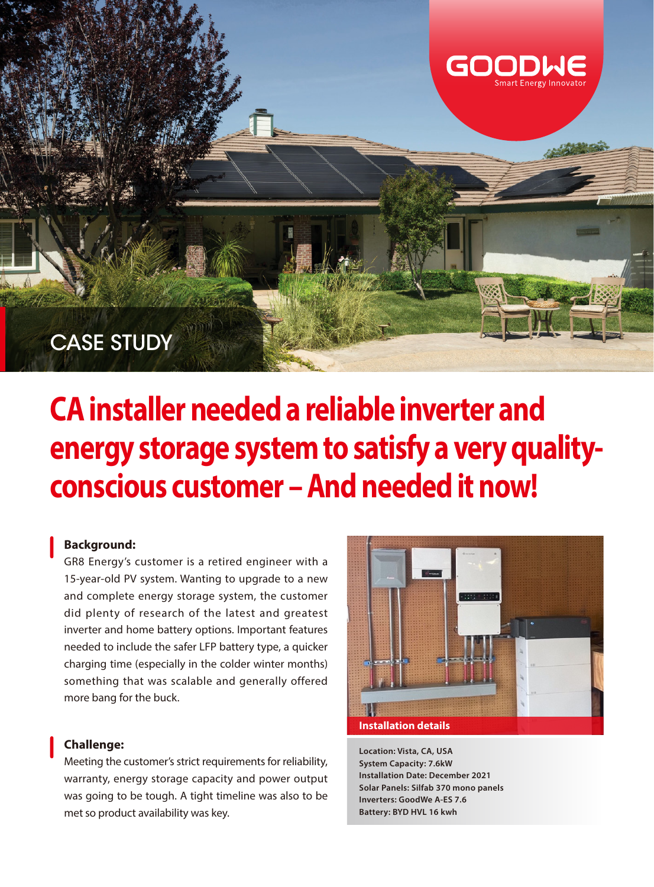

# **CA installer needed a reliable inverter and energy storage system to satisfy a very qualityconscious customer – And needed it now!**

#### **Background:**

GR8 Energy's customer is a retired engineer with a 15-year-old PV system. Wanting to upgrade to a new and complete energy storage system, the customer did plenty of research of the latest and greatest inverter and home battery options. Important features needed to include the safer LFP battery type, a quicker charging time (especially in the colder winter months) something that was scalable and generally offered more bang for the buck.

#### **Challenge:**

Meeting the customer's strict requirements for reliability, warranty, energy storage capacity and power output was going to be tough. A tight timeline was also to be met so product availability was key.



**Location: Vista, CA, USA System Capacity: 7.6kW Installation Date: December 2021 Solar Panels: Silfab 370 mono panels Inverters: GoodWe A-ES 7.6 Battery: BYD HVL 16 kwh**